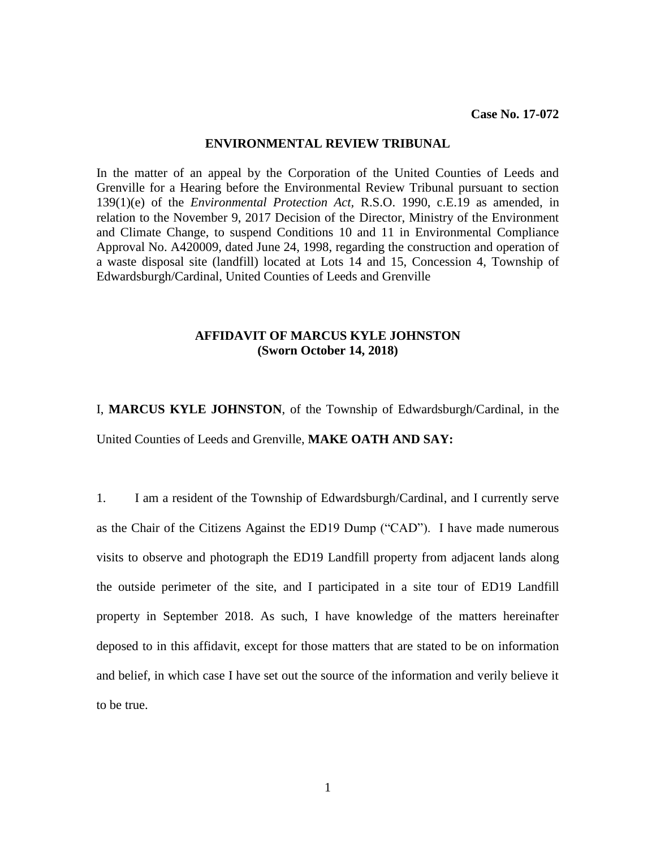## **ENVIRONMENTAL REVIEW TRIBUNAL**

In the matter of an appeal by the Corporation of the United Counties of Leeds and Grenville for a Hearing before the Environmental Review Tribunal pursuant to section 139(1)(e) of the *Environmental Protection Act,* R.S.O. 1990, c.E.19 as amended, in relation to the November 9, 2017 Decision of the Director, Ministry of the Environment and Climate Change, to suspend Conditions 10 and 11 in Environmental Compliance Approval No. A420009, dated June 24, 1998, regarding the construction and operation of a waste disposal site (landfill) located at Lots 14 and 15, Concession 4, Township of Edwardsburgh/Cardinal, United Counties of Leeds and Grenville

## **AFFIDAVIT OF MARCUS KYLE JOHNSTON (Sworn October 14, 2018)**

I, **MARCUS KYLE JOHNSTON**, of the Township of Edwardsburgh/Cardinal, in the United Counties of Leeds and Grenville, **MAKE OATH AND SAY:**

1. I am a resident of the Township of Edwardsburgh/Cardinal, and I currently serve as the Chair of the Citizens Against the ED19 Dump ("CAD"). I have made numerous visits to observe and photograph the ED19 Landfill property from adjacent lands along the outside perimeter of the site, and I participated in a site tour of ED19 Landfill property in September 2018. As such, I have knowledge of the matters hereinafter deposed to in this affidavit, except for those matters that are stated to be on information and belief, in which case I have set out the source of the information and verily believe it to be true.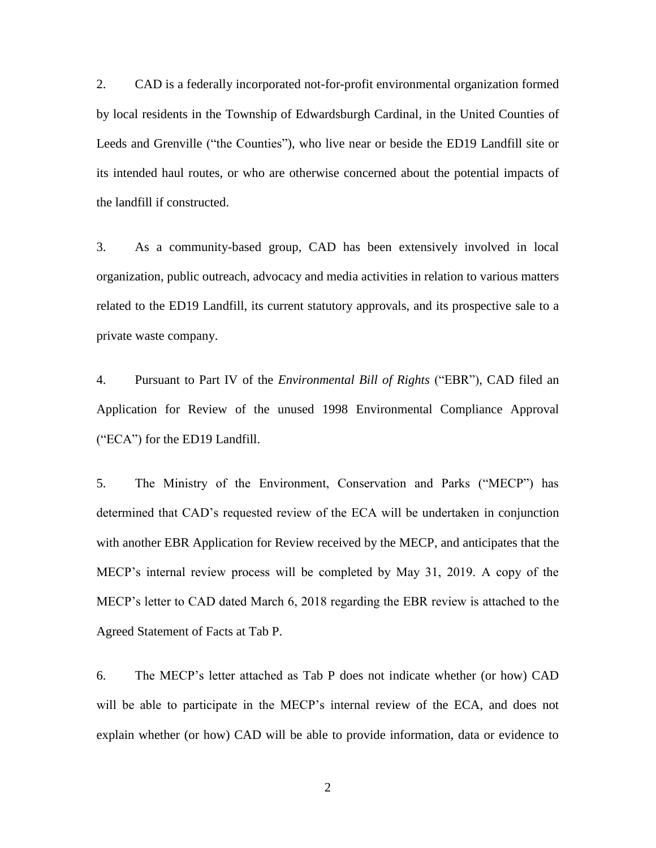2. CAD is a federally incorporated not-for-profit environmental organization formed by local residents in the Township of Edwardsburgh Cardinal, in the United Counties of Leeds and Grenville ("the Counties"), who live near or beside the ED19 Landfill site or its intended haul routes, or who are otherwise concerned about the potential impacts of the landfill if constructed.

3. As a community-based group, CAD has been extensively involved in local organization, public outreach, advocacy and media activities in relation to various matters related to the ED19 Landfill, its current statutory approvals, and its prospective sale to a private waste company.

4. Pursuant to Part IV of the *Environmental Bill of Rights* ("EBR"), CAD filed an Application for Review of the unused 1998 Environmental Compliance Approval ("ECA") for the ED19 Landfill.

5. The Ministry of the Environment, Conservation and Parks ("MECP") has determined that CAD's requested review of the ECA will be undertaken in conjunction with another EBR Application for Review received by the MECP, and anticipates that the MECP's internal review process will be completed by May 31, 2019. A copy of the MECP's letter to CAD dated March 6, 2018 regarding the EBR review is attached to the Agreed Statement of Facts at Tab P.

6. The MECP's letter attached as Tab P does not indicate whether (or how) CAD will be able to participate in the MECP's internal review of the ECA, and does not explain whether (or how) CAD will be able to provide information, data or evidence to

2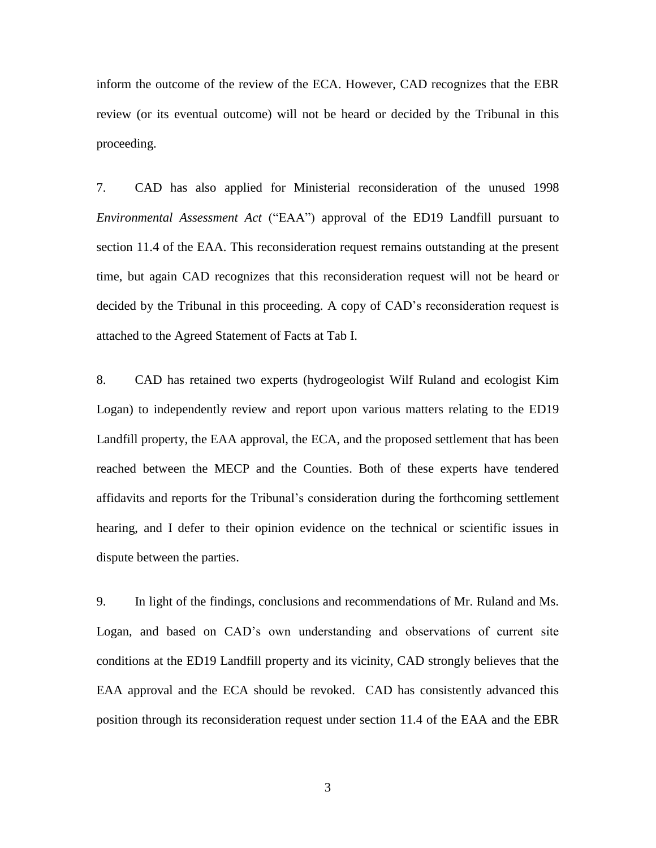inform the outcome of the review of the ECA. However, CAD recognizes that the EBR review (or its eventual outcome) will not be heard or decided by the Tribunal in this proceeding.

7. CAD has also applied for Ministerial reconsideration of the unused 1998 *Environmental Assessment Act* ("EAA") approval of the ED19 Landfill pursuant to section 11.4 of the EAA. This reconsideration request remains outstanding at the present time, but again CAD recognizes that this reconsideration request will not be heard or decided by the Tribunal in this proceeding. A copy of CAD's reconsideration request is attached to the Agreed Statement of Facts at Tab I.

8. CAD has retained two experts (hydrogeologist Wilf Ruland and ecologist Kim Logan) to independently review and report upon various matters relating to the ED19 Landfill property, the EAA approval, the ECA, and the proposed settlement that has been reached between the MECP and the Counties. Both of these experts have tendered affidavits and reports for the Tribunal's consideration during the forthcoming settlement hearing, and I defer to their opinion evidence on the technical or scientific issues in dispute between the parties.

9. In light of the findings, conclusions and recommendations of Mr. Ruland and Ms. Logan, and based on CAD's own understanding and observations of current site conditions at the ED19 Landfill property and its vicinity, CAD strongly believes that the EAA approval and the ECA should be revoked. CAD has consistently advanced this position through its reconsideration request under section 11.4 of the EAA and the EBR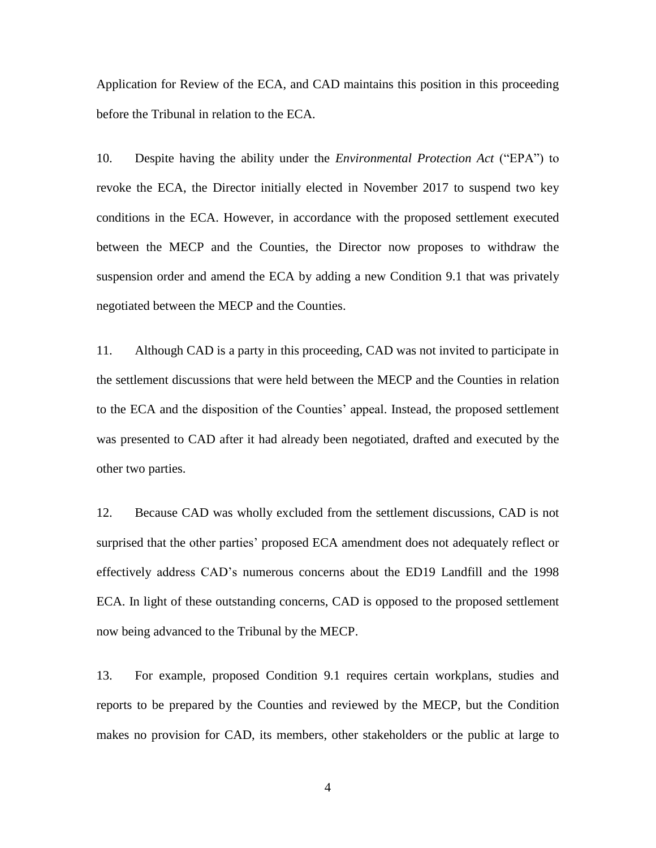Application for Review of the ECA, and CAD maintains this position in this proceeding before the Tribunal in relation to the ECA.

10. Despite having the ability under the *Environmental Protection Act* ("EPA") to revoke the ECA, the Director initially elected in November 2017 to suspend two key conditions in the ECA. However, in accordance with the proposed settlement executed between the MECP and the Counties, the Director now proposes to withdraw the suspension order and amend the ECA by adding a new Condition 9.1 that was privately negotiated between the MECP and the Counties.

11. Although CAD is a party in this proceeding, CAD was not invited to participate in the settlement discussions that were held between the MECP and the Counties in relation to the ECA and the disposition of the Counties' appeal. Instead, the proposed settlement was presented to CAD after it had already been negotiated, drafted and executed by the other two parties.

12. Because CAD was wholly excluded from the settlement discussions, CAD is not surprised that the other parties' proposed ECA amendment does not adequately reflect or effectively address CAD's numerous concerns about the ED19 Landfill and the 1998 ECA. In light of these outstanding concerns, CAD is opposed to the proposed settlement now being advanced to the Tribunal by the MECP.

13. For example, proposed Condition 9.1 requires certain workplans, studies and reports to be prepared by the Counties and reviewed by the MECP, but the Condition makes no provision for CAD, its members, other stakeholders or the public at large to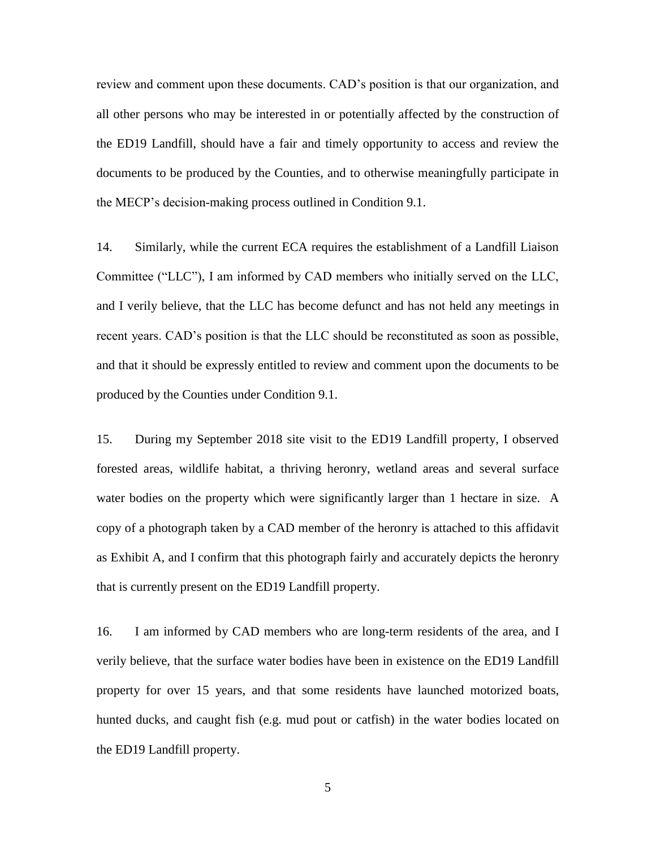review and comment upon these documents. CAD's position is that our organization, and all other persons who may be interested in or potentially affected by the construction of the ED19 Landfill, should have a fair and timely opportunity to access and review the documents to be produced by the Counties, and to otherwise meaningfully participate in the MECP's decision-making process outlined in Condition 9.1.

14. Similarly, while the current ECA requires the establishment of a Landfill Liaison Committee ("LLC"), I am informed by CAD members who initially served on the LLC, and I verily believe, that the LLC has become defunct and has not held any meetings in recent years. CAD's position is that the LLC should be reconstituted as soon as possible, and that it should be expressly entitled to review and comment upon the documents to be produced by the Counties under Condition 9.1.

15. During my September 2018 site visit to the ED19 Landfill property, I observed forested areas, wildlife habitat, a thriving heronry, wetland areas and several surface water bodies on the property which were significantly larger than 1 hectare in size. A copy of a photograph taken by a CAD member of the heronry is attached to this affidavit as Exhibit A, and I confirm that this photograph fairly and accurately depicts the heronry that is currently present on the ED19 Landfill property.

16. I am informed by CAD members who are long-term residents of the area, and I verily believe, that the surface water bodies have been in existence on the ED19 Landfill property for over 15 years, and that some residents have launched motorized boats, hunted ducks, and caught fish (e.g. mud pout or catfish) in the water bodies located on the ED19 Landfill property.

5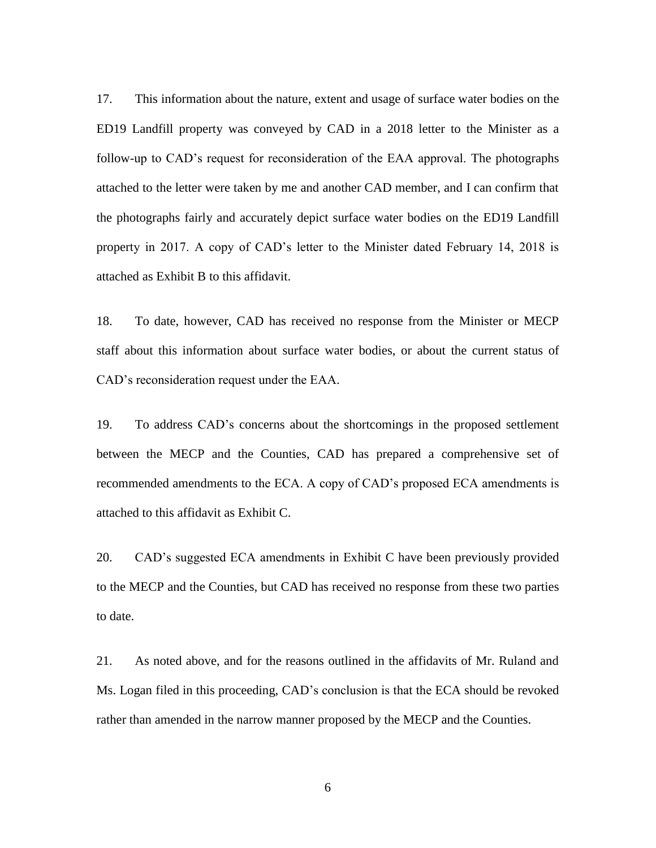17. This information about the nature, extent and usage of surface water bodies on the ED19 Landfill property was conveyed by CAD in a 2018 letter to the Minister as a follow-up to CAD's request for reconsideration of the EAA approval. The photographs attached to the letter were taken by me and another CAD member, and I can confirm that the photographs fairly and accurately depict surface water bodies on the ED19 Landfill property in 2017. A copy of CAD's letter to the Minister dated February 14, 2018 is attached as Exhibit B to this affidavit.

18. To date, however, CAD has received no response from the Minister or MECP staff about this information about surface water bodies, or about the current status of CAD's reconsideration request under the EAA.

19. To address CAD's concerns about the shortcomings in the proposed settlement between the MECP and the Counties, CAD has prepared a comprehensive set of recommended amendments to the ECA. A copy of CAD's proposed ECA amendments is attached to this affidavit as Exhibit C.

20. CAD's suggested ECA amendments in Exhibit C have been previously provided to the MECP and the Counties, but CAD has received no response from these two parties to date.

21. As noted above, and for the reasons outlined in the affidavits of Mr. Ruland and Ms. Logan filed in this proceeding, CAD's conclusion is that the ECA should be revoked rather than amended in the narrow manner proposed by the MECP and the Counties.

6